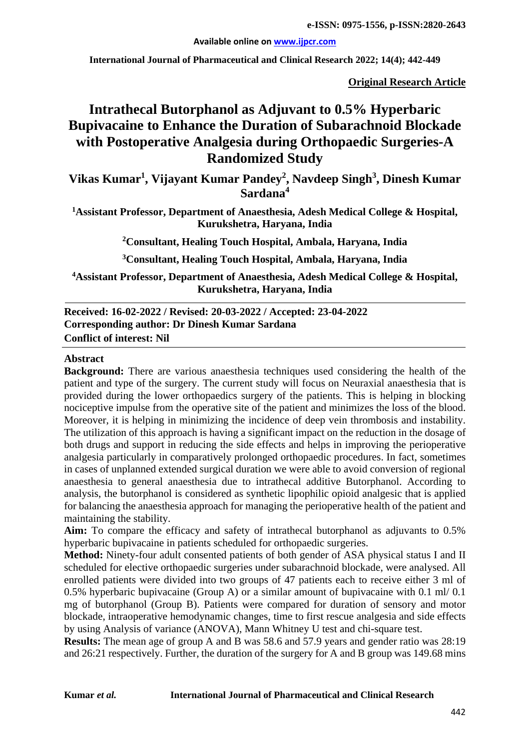**Available online on [www.ijpcr.com](http://www.ijpcr.com/)**

**International Journal of Pharmaceutical and Clinical Research 2022; 14(4); 442-449**

**Original Research Article**

# **Intrathecal Butorphanol as Adjuvant to 0.5% Hyperbaric Bupivacaine to Enhance the Duration of Subarachnoid Blockade with Postoperative Analgesia during Orthopaedic Surgeries-A Randomized Study**

**Vikas Kumar1 , Vijayant Kumar Pandey<sup>2</sup> , Navdeep Singh<sup>3</sup> , Dinesh Kumar Sardana4**

**1Assistant Professor, Department of Anaesthesia, Adesh Medical College & Hospital, Kurukshetra, Haryana, India**

**2Consultant, Healing Touch Hospital, Ambala, Haryana, India**

**3Consultant, Healing Touch Hospital, Ambala, Haryana, India**

**4 Assistant Professor, Department of Anaesthesia, Adesh Medical College & Hospital, Kurukshetra, Haryana, India**

#### **Received: 16-02-2022 / Revised: 20-03-2022 / Accepted: 23-04-2022 Corresponding author: Dr Dinesh Kumar Sardana Conflict of interest: Nil**

#### **Abstract**

**Background:** There are various anaesthesia techniques used considering the health of the patient and type of the surgery. The current study will focus on Neuraxial anaesthesia that is provided during the lower orthopaedics surgery of the patients. This is helping in blocking nociceptive impulse from the operative site of the patient and minimizes the loss of the blood. Moreover, it is helping in minimizing the incidence of deep vein thrombosis and instability. The utilization of this approach is having a significant impact on the reduction in the dosage of both drugs and support in reducing the side effects and helps in improving the perioperative analgesia particularly in comparatively prolonged orthopaedic procedures. In fact, sometimes in cases of unplanned extended surgical duration we were able to avoid conversion of regional anaesthesia to general anaesthesia due to intrathecal additive Butorphanol. According to analysis, the butorphanol is considered as synthetic lipophilic opioid analgesic that is applied for balancing the anaesthesia approach for managing the perioperative health of the patient and maintaining the stability.

Aim: To compare the efficacy and safety of intrathecal butorphanol as adjuvants to 0.5% hyperbaric bupivacaine in patients scheduled for orthopaedic surgeries.

**Method:** Ninety-four adult consented patients of both gender of ASA physical status I and II scheduled for elective orthopaedic surgeries under subarachnoid blockade, were analysed. All enrolled patients were divided into two groups of 47 patients each to receive either 3 ml of 0.5% hyperbaric bupivacaine (Group A) or a similar amount of bupivacaine with 0.1 ml/ 0.1 mg of butorphanol (Group B). Patients were compared for duration of sensory and motor blockade, intraoperative hemodynamic changes, time to first rescue analgesia and side effects by using Analysis of variance (ANOVA), Mann Whitney U test and chi-square test.

**Results:** The mean age of group A and B was 58.6 and 57.9 years and gender ratio was 28:19 and 26:21 respectively. Further, the duration of the surgery for A and B group was 149.68 mins

#### **Kumar** *et al.* **International Journal of Pharmaceutical and Clinical Research**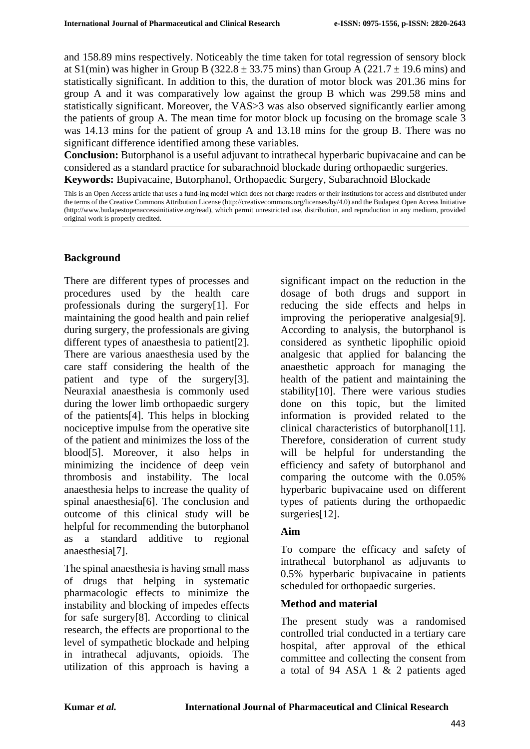and 158.89 mins respectively. Noticeably the time taken for total regression of sensory block at  $S1$ (min) was higher in Group B (322.8  $\pm$  33.75 mins) than Group A (221.7  $\pm$  19.6 mins) and statistically significant. In addition to this, the duration of motor block was 201.36 mins for group A and it was comparatively low against the group B which was 299.58 mins and statistically significant. Moreover, the VAS>3 was also observed significantly earlier among the patients of group A. The mean time for motor block up focusing on the bromage scale 3 was 14.13 mins for the patient of group A and 13.18 mins for the group B. There was no significant difference identified among these variables.

**Conclusion:** Butorphanol is a useful adjuvant to intrathecal hyperbaric bupivacaine and can be considered as a standard practice for subarachnoid blockade during orthopaedic surgeries. **Keywords:** Bupivacaine, Butorphanol, Orthopaedic Surgery, Subarachnoid Blockade

### **Background**

There are different types of processes and procedures used by the health care professionals during the surgery[1]. For maintaining the good health and pain relief during surgery, the professionals are giving different types of anaesthesia to patient[2]. There are various anaesthesia used by the care staff considering the health of the patient and type of the surgery[3]. Neuraxial anaesthesia is commonly used during the lower limb orthopaedic surgery of the patients[4]. This helps in blocking nociceptive impulse from the operative site of the patient and minimizes the loss of the blood[5]. Moreover, it also helps in minimizing the incidence of deep vein thrombosis and instability. The local anaesthesia helps to increase the quality of spinal anaesthesia[6]. The conclusion and outcome of this clinical study will be helpful for recommending the butorphanol as a standard additive to regional anaesthesia[7].

The spinal anaesthesia is having small mass of drugs that helping in systematic pharmacologic effects to minimize the instability and blocking of impedes effects for safe surgery[8]. According to clinical research, the effects are proportional to the level of sympathetic blockade and helping in intrathecal adjuvants, opioids. The utilization of this approach is having a

significant impact on the reduction in the dosage of both drugs and support in reducing the side effects and helps in improving the perioperative analgesia[9]. According to analysis, the butorphanol is considered as synthetic lipophilic opioid analgesic that applied for balancing the anaesthetic approach for managing the health of the patient and maintaining the stability[10]. There were various studies done on this topic, but the limited information is provided related to the clinical characteristics of butorphanol[11]. Therefore, consideration of current study will be helpful for understanding the efficiency and safety of butorphanol and comparing the outcome with the 0.05% hyperbaric bupivacaine used on different types of patients during the orthopaedic surgeries[12].

#### **Aim**

To compare the efficacy and safety of intrathecal butorphanol as adjuvants to 0.5% hyperbaric bupivacaine in patients scheduled for orthopaedic surgeries.

#### **Method and material**

The present study was a randomised controlled trial conducted in a tertiary care hospital, after approval of the ethical committee and collecting the consent from a total of 94 ASA 1 & 2 patients aged

This is an Open Access article that uses a fund-ing model which does not charge readers or their institutions for access and distributed under the terms of the Creative Commons Attribution License (http://creativecommons.org/licenses/by/4.0) and the Budapest Open Access Initiative (http://www.budapestopenaccessinitiative.org/read), which permit unrestricted use, distribution, and reproduction in any medium, provided original work is properly credited.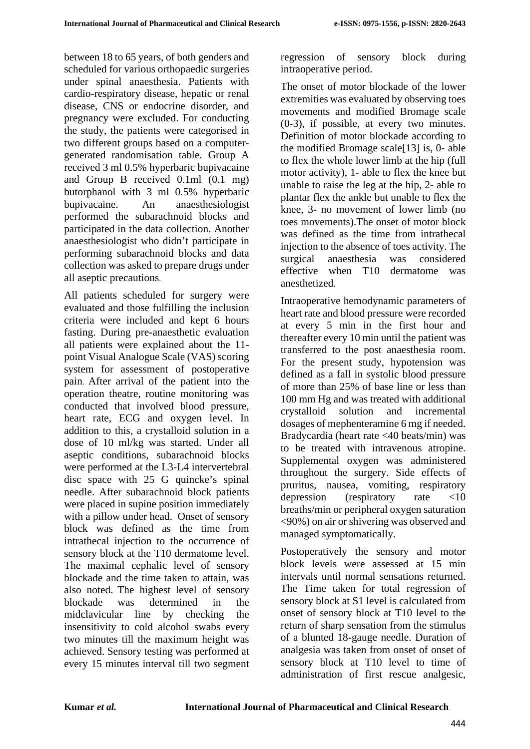between 18 to 65 years, of both genders and scheduled for various orthopaedic surgeries under spinal anaesthesia. Patients with cardio-respiratory disease, hepatic or renal disease, CNS or endocrine disorder, and pregnancy were excluded. For conducting the study, the patients were categorised in two different groups based on a computergenerated randomisation table. Group A received 3 ml 0.5% hyperbaric bupivacaine and Group B received 0.1ml (0.1 mg) butorphanol with 3 ml 0.5% hyperbaric bupivacaine. An anaesthesiologist performed the subarachnoid blocks and participated in the data collection. Another anaesthesiologist who didn't participate in performing subarachnoid blocks and data collection was asked to prepare drugs under all aseptic precautions.

All patients scheduled for surgery were evaluated and those fulfilling the inclusion criteria were included and kept 6 hours fasting. During pre-anaesthetic evaluation all patients were explained about the 11 point Visual Analogue Scale (VAS) scoring system for assessment of postoperative pain. After arrival of the patient into the operation theatre, routine monitoring was conducted that involved blood pressure, heart rate, ECG and oxygen level. In addition to this, a crystalloid solution in a dose of 10 ml/kg was started. Under all aseptic conditions, subarachnoid blocks were performed at the L3-L4 intervertebral disc space with 25 G quincke's spinal needle. After subarachnoid block patients were placed in supine position immediately with a pillow under head. Onset of sensory block was defined as the time from intrathecal injection to the occurrence of sensory block at the T10 dermatome level. The maximal cephalic level of sensory blockade and the time taken to attain, was also noted. The highest level of sensory blockade was determined in the midclavicular line by checking the insensitivity to cold alcohol swabs every two minutes till the maximum height was achieved. Sensory testing was performed at every 15 minutes interval till two segment

regression of sensory block during intraoperative period.

The onset of motor blockade of the lower extremities was evaluated by observing toes movements and modified Bromage scale (0-3), if possible, at every two minutes. Definition of motor blockade according to the modified Bromage scale[13] is, 0- able to flex the whole lower limb at the hip (full motor activity), 1- able to flex the knee but unable to raise the leg at the hip, 2- able to plantar flex the ankle but unable to flex the knee, 3- no movement of lower limb (no toes movements).The onset of motor block was defined as the time from intrathecal injection to the absence of toes activity. The surgical anaesthesia was considered effective when T10 dermatome was anesthetized.

Intraoperative hemodynamic parameters of heart rate and blood pressure were recorded at every 5 min in the first hour and thereafter every 10 min until the patient was transferred to the post anaesthesia room. For the present study, hypotension was defined as a fall in systolic blood pressure of more than 25% of base line or less than 100 mm Hg and was treated with additional crystalloid solution and incremental dosages of mephenteramine 6 mg if needed. Bradycardia (heart rate <40 beats/min) was to be treated with intravenous atropine. Supplemental oxygen was administered throughout the surgery. Side effects of pruritus, nausea, vomiting, respiratory depression (respiratory rate <10 breaths/min or peripheral oxygen saturation <90%) on air or shivering was observed and managed symptomatically.

Postoperatively the sensory and motor block levels were assessed at 15 min intervals until normal sensations returned. The Time taken for total regression of sensory block at S1 level is calculated from onset of sensory block at T10 level to the return of sharp sensation from the stimulus of a blunted 18-gauge needle. Duration of analgesia was taken from onset of onset of sensory block at T10 level to time of administration of first rescue analgesic,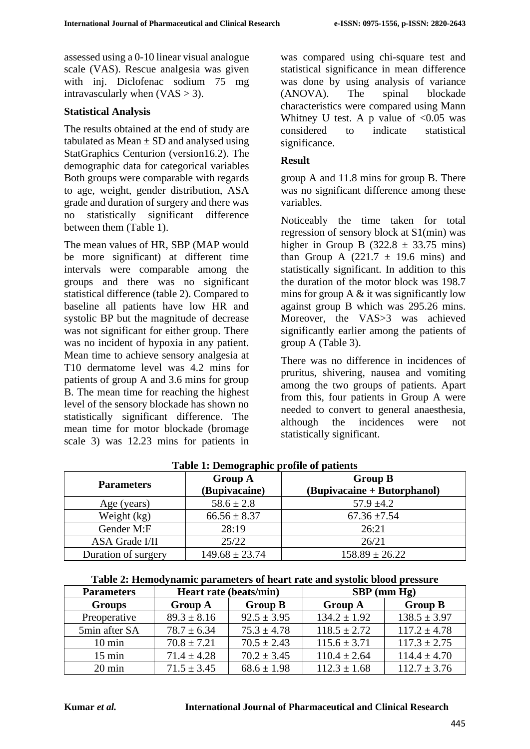assessed using a 0-10 linear visual analogue scale (VAS). Rescue analgesia was given with inj. Diclofenac sodium 75 mg intravascularly when  $(VAS > 3)$ .

#### **Statistical Analysis**

The results obtained at the end of study are tabulated as Mean  $\pm$  SD and analysed using StatGraphics Centurion (version16.2). The demographic data for categorical variables Both groups were comparable with regards to age, weight, gender distribution, ASA grade and duration of surgery and there was no statistically significant difference between them (Table 1).

The mean values of HR, SBP (MAP would be more significant) at different time intervals were comparable among the groups and there was no significant statistical difference (table 2). Compared to baseline all patients have low HR and systolic BP but the magnitude of decrease was not significant for either group. There was no incident of hypoxia in any patient. Mean time to achieve sensory analgesia at T10 dermatome level was 4.2 mins for patients of group A and 3.6 mins for group B. The mean time for reaching the highest level of the sensory blockade has shown no statistically significant difference. The mean time for motor blockade (bromage scale 3) was 12.23 mins for patients in

was compared using chi-square test and statistical significance in mean difference was done by using analysis of variance (ANOVA). The spinal blockade characteristics were compared using Mann Whitney U test. A p value of  $< 0.05$  was considered to indicate statistical significance.

#### **Result**

group A and 11.8 mins for group B. There was no significant difference among these variables.

Noticeably the time taken for total regression of sensory block at S1(min) was higher in Group B (322.8  $\pm$  33.75 mins) than Group A  $(221.7 \pm 19.6 \text{ mins})$  and statistically significant. In addition to this the duration of the motor block was 198.7 mins for group A  $\&$  it was significantly low against group B which was 295.26 mins. Moreover, the VAS>3 was achieved significantly earlier among the patients of group A (Table 3).

There was no difference in incidences of pruritus, shivering, nausea and vomiting among the two groups of patients. Apart from this, four patients in Group A were needed to convert to general anaesthesia, although the incidences were not statistically significant.

| <b>Parameters</b>     | <b>Group A</b><br>(Bupivacaine) | <b>Group B</b><br>(Bupivacaine + Butorphanol) |  |
|-----------------------|---------------------------------|-----------------------------------------------|--|
| Age (years)           | $58.6 \pm 2.8$                  | $57.9 \pm 4.2$                                |  |
| Weight (kg)           | $66.56 \pm 8.37$                | $67.36 \pm 7.54$                              |  |
| Gender M:F            | 28:19                           | 26:21                                         |  |
| <b>ASA Grade I/II</b> | 25/22                           | 26/21                                         |  |
| Duration of surgery   | $149.68 \pm 23.74$              | $158.89 \pm 26.22$                            |  |

**Table 1: Demographic profile of patients**

|--|

| <b>Parameters</b> | Heart rate (beats/min) |                 | $SBP$ (mm $Hg$ ) |                  |
|-------------------|------------------------|-----------------|------------------|------------------|
| <b>Groups</b>     | <b>Group A</b>         | <b>Group B</b>  | <b>Group A</b>   | <b>Group B</b>   |
| Preoperative      | $89.3 \pm 8.16$        | $92.5 \pm 3.95$ | $134.2 \pm 1.92$ | $138.5 \pm 3.97$ |
| 5min after SA     | $78.7 \pm 6.34$        | $75.3 \pm 4.78$ | $118.5 \pm 2.72$ | $117.2 \pm 4.78$ |
| $10 \text{ min}$  | $70.8 \pm 7.21$        | $70.5 \pm 2.43$ | $115.6 \pm 3.71$ | $117.3 \pm 2.75$ |
| $15 \text{ min}$  | $71.4 \pm 4.28$        | $70.2 \pm 3.45$ | $110.4 \pm 2.64$ | $114.4 \pm 4.70$ |
| $20 \text{ min}$  | $71.5 \pm 3.45$        | $68.6 \pm 1.98$ | $112.3 \pm 1.68$ | $112.7 \pm 3.76$ |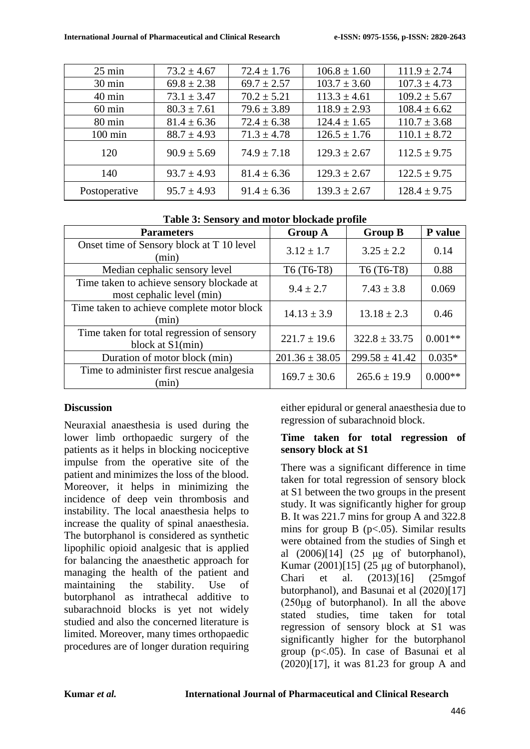| $25 \text{ min}$  | $73.2 \pm 4.67$ | $72.4 \pm 1.76$ | $106.8 \pm 1.60$ | $111.9 \pm 2.74$ |
|-------------------|-----------------|-----------------|------------------|------------------|
| $30 \text{ min}$  | $69.8 \pm 2.38$ | $69.7 \pm 2.57$ | $103.7 \pm 3.60$ | $107.3 \pm 4.73$ |
| $40 \text{ min}$  | $73.1 \pm 3.47$ | $70.2 \pm 5.21$ | $113.3 \pm 4.61$ | $109.2 \pm 5.67$ |
| $60 \text{ min}$  | $80.3 \pm 7.61$ | $79.6 \pm 3.89$ | $118.9 \pm 2.93$ | $108.4 \pm 6.62$ |
| $80 \text{ min}$  | $81.4 \pm 6.36$ | $72.4 \pm 6.38$ | $124.4 \pm 1.65$ | $110.7 \pm 3.68$ |
| $100 \text{ min}$ | $88.7 \pm 4.93$ | $71.3 \pm 4.78$ | $126.5 \pm 1.76$ | $110.1 \pm 8.72$ |
| 120               | $90.9 \pm 5.69$ | $74.9 \pm 7.18$ | $129.3 \pm 2.67$ | $112.5 \pm 9.75$ |
| 140               | $93.7 \pm 4.93$ | $81.4 \pm 6.36$ | $129.3 \pm 2.67$ | $122.5 \pm 9.75$ |
| Postoperative     | $95.7 \pm 4.93$ | $91.4 \pm 6.36$ | $139.3 \pm 2.67$ | $128.4 \pm 9.75$ |

| Table 3: Sensory and motor blockade profile |
|---------------------------------------------|
|---------------------------------------------|

| <b>Parameters</b>                                                      | <b>Group A</b>     | <b>Group B</b>     | P value   |
|------------------------------------------------------------------------|--------------------|--------------------|-----------|
| Onset time of Sensory block at T 10 level<br>(min)                     | $3.12 \pm 1.7$     | $3.25 \pm 2.2$     | 0.14      |
| Median cephalic sensory level                                          | T6 (T6-T8)         | T6 (T6-T8)         | 0.88      |
| Time taken to achieve sensory blockade at<br>most cephalic level (min) | $9.4 \pm 2.7$      | $7.43 \pm 3.8$     | 0.069     |
| Time taken to achieve complete motor block<br>(min)                    | $14.13 \pm 3.9$    | $13.18 \pm 2.3$    | 0.46      |
| Time taken for total regression of sensory<br>block at S1(min)         | $221.7 \pm 19.6$   | $322.8 \pm 33.75$  | $0.001**$ |
| Duration of motor block (min)                                          | $201.36 \pm 38.05$ | $299.58 \pm 41.42$ | $0.035*$  |
| Time to administer first rescue analgesia<br>(min)                     | $169.7 \pm 30.6$   | $265.6 \pm 19.9$   | $0.000**$ |

### **Discussion**

Neuraxial anaesthesia is used during the lower limb orthopaedic surgery of the patients as it helps in blocking nociceptive impulse from the operative site of the patient and minimizes the loss of the blood. Moreover, it helps in minimizing the incidence of deep vein thrombosis and instability. The local anaesthesia helps to increase the quality of spinal anaesthesia. The butorphanol is considered as synthetic lipophilic opioid analgesic that is applied for balancing the anaesthetic approach for managing the health of the patient and maintaining the stability. Use of butorphanol as intrathecal additive to subarachnoid blocks is yet not widely studied and also the concerned literature is limited. Moreover, many times orthopaedic procedures are of longer duration requiring either epidural or general anaesthesia due to regression of subarachnoid block.

### **Time taken for total regression of sensory block at S1**

There was a significant difference in time taken for total regression of sensory block at S1 between the two groups in the present study. It was significantly higher for group B. It was 221.7 mins for group A and 322.8 mins for group B  $(p<.05)$ . Similar results were obtained from the studies of Singh et al (2006)[14] (25 μg of butorphanol), Kumar (2001)[15] (25 μg of butorphanol), Chari et al. (2013)[16] (25mgof butorphanol), and Basunai et al (2020)[17]  $(250\mu g)$  of butorphanol). In all the above stated studies, time taken for total regression of sensory block at S1 was significantly higher for the butorphanol group (p<.05). In case of Basunai et al (2020)[17], it was 81.23 for group A and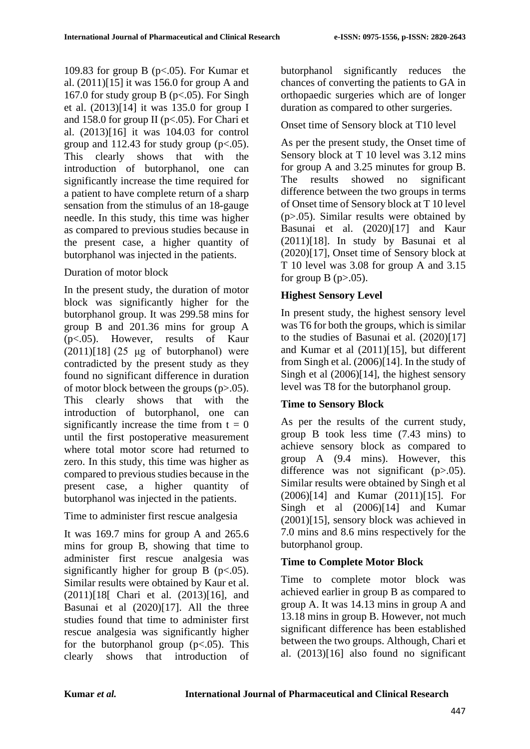109.83 for group B ( $p<0.05$ ). For Kumar et al. (2011)[15] it was 156.0 for group A and 167.0 for study group B ( $p < .05$ ). For Singh et al. (2013)[14] it was 135.0 for group I and 158.0 for group II ( $p<0.05$ ). For Chari et al. (2013)[16] it was 104.03 for control group and  $112.43$  for study group ( $p < .05$ ). This clearly shows that with the introduction of butorphanol, one can significantly increase the time required for a patient to have complete return of a sharp sensation from the stimulus of an 18-gauge needle. In this study, this time was higher as compared to previous studies because in the present case, a higher quantity of butorphanol was injected in the patients.

### Duration of motor block

In the present study, the duration of motor block was significantly higher for the butorphanol group. It was 299.58 mins for group B and 201.36 mins for group A (p<.05). However, results of Kaur  $(2011)[18]$   $(25 \text{ µg} \text{ of} \text{ butor} \text{phant})$  were contradicted by the present study as they found no significant difference in duration of motor block between the groups  $(p>0.05)$ . This clearly shows that with the introduction of butorphanol, one can significantly increase the time from  $t = 0$ until the first postoperative measurement where total motor score had returned to zero. In this study, this time was higher as compared to previous studies because in the present case, a higher quantity of butorphanol was injected in the patients.

Time to administer first rescue analgesia

It was 169.7 mins for group A and 265.6 mins for group B, showing that time to administer first rescue analgesia was significantly higher for group B  $(p<.05)$ . Similar results were obtained by Kaur et al. (2011)[18[ Chari et al. (2013)[16], and Basunai et al (2020)[17]. All the three studies found that time to administer first rescue analgesia was significantly higher for the butorphanol group  $(p<.05)$ . This clearly shows that introduction of butorphanol significantly reduces the chances of converting the patients to GA in orthopaedic surgeries which are of longer duration as compared to other surgeries.

## Onset time of Sensory block at T10 level

As per the present study, the Onset time of Sensory block at T 10 level was 3.12 mins for group A and 3.25 minutes for group B. The results showed no significant difference between the two groups in terms of Onset time of Sensory block at T 10 level (p>.05). Similar results were obtained by Basunai et al. (2020)[17] and Kaur (2011)[18]. In study by Basunai et al (2020)[17], Onset time of Sensory block at T 10 level was 3.08 for group A and 3.15 for group B  $(p>0.05)$ .

# **Highest Sensory Level**

In present study, the highest sensory level was T6 for both the groups, which is similar to the studies of Basunai et al. (2020)[17] and Kumar et al (2011)[15], but different from Singh et al. (2006)[14]. In the study of Singh et al (2006)[14], the highest sensory level was T8 for the butorphanol group.

# **Time to Sensory Block**

As per the results of the current study, group B took less time (7.43 mins) to achieve sensory block as compared to group A (9.4 mins). However, this difference was not significant  $(p>0.05)$ . Similar results were obtained by Singh et al (2006)[14] and Kumar (2011)[15]. For Singh et al (2006)[14] and Kumar (2001)[15], sensory block was achieved in 7.0 mins and 8.6 mins respectively for the butorphanol group.

# **Time to Complete Motor Block**

Time to complete motor block was achieved earlier in group B as compared to group A. It was 14.13 mins in group A and 13.18 mins in group B. However, not much significant difference has been established between the two groups. Although, Chari et al. (2013)[16] also found no significant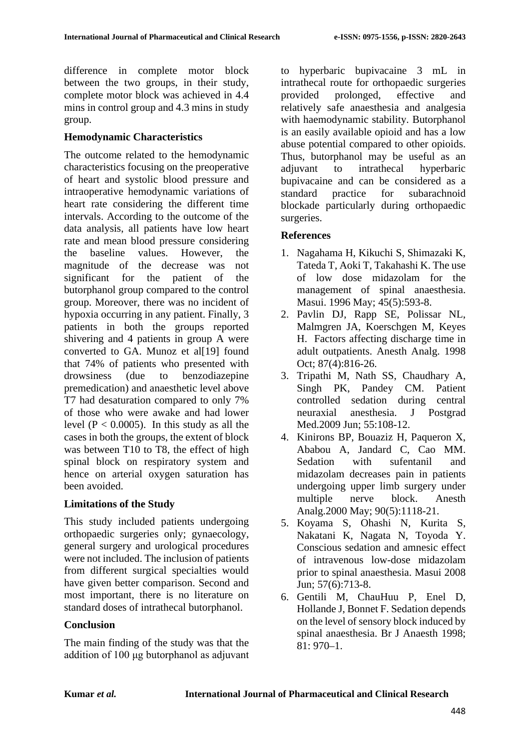difference in complete motor block between the two groups, in their study, complete motor block was achieved in 4.4 mins in control group and 4.3 mins in study group.

#### **Hemodynamic Characteristics**

The outcome related to the hemodynamic characteristics focusing on the preoperative of heart and systolic blood pressure and intraoperative hemodynamic variations of heart rate considering the different time intervals. According to the outcome of the data analysis, all patients have low heart rate and mean blood pressure considering the baseline values. However, the magnitude of the decrease was not significant for the patient of the butorphanol group compared to the control group. Moreover, there was no incident of hypoxia occurring in any patient. Finally, 3 patients in both the groups reported shivering and 4 patients in group A were converted to GA. Munoz et al[19] found that 74% of patients who presented with drowsiness (due to benzodiazepine premedication) and anaesthetic level above T7 had desaturation compared to only 7% of those who were awake and had lower level ( $P < 0.0005$ ). In this study as all the cases in both the groups, the extent of block was between T10 to T8, the effect of high spinal block on respiratory system and hence on arterial oxygen saturation has been avoided.

### **Limitations of the Study**

This study included patients undergoing orthopaedic surgeries only; gynaecology, general surgery and urological procedures were not included. The inclusion of patients from different surgical specialties would have given better comparison. Second and most important, there is no literature on standard doses of intrathecal butorphanol.

### **Conclusion**

The main finding of the study was that the addition of 100 μg butorphanol as adjuvant to hyperbaric bupivacaine 3 mL in intrathecal route for orthopaedic surgeries provided prolonged, effective and relatively safe anaesthesia and analgesia with haemodynamic stability. Butorphanol is an easily available opioid and has a low abuse potential compared to other opioids. Thus, butorphanol may be useful as an adjuvant to intrathecal hyperbaric bupivacaine and can be considered as a standard practice for subarachnoid blockade particularly during orthopaedic surgeries.

### **References**

- 1. Nagahama H, Kikuchi S, Shimazaki K, Tateda T, Aoki T, Takahashi K. The use of low dose midazolam for the management of spinal anaesthesia. Masui. 1996 May; 45(5):593-8.
- 2. Pavlin DJ, Rapp SE, Polissar NL, Malmgren JA, Koerschgen M, Keyes H. Factors affecting discharge time in adult outpatients. Anesth Analg. 1998 Oct; 87(4):816-26.
- 3. Tripathi M, Nath SS, Chaudhary A, Singh PK, Pandey CM. Patient controlled sedation during central neuraxial anesthesia. J Postgrad Med.2009 Jun: 55:108-12.
- 4. Kinirons BP, Bouaziz H, Paqueron X, Ababou A, Jandard C, Cao MM. Sedation with sufentanil and midazolam decreases pain in patients undergoing upper limb surgery under multiple nerve block. Anesth Analg.2000 May; 90(5):1118-21.
- 5. Koyama S, Ohashi N, Kurita S, Nakatani K, Nagata N, Toyoda Y. Conscious sedation and amnesic effect of intravenous low-dose midazolam prior to spinal anaesthesia. Masui 2008 Jun; 57(6):713-8.
- 6. Gentili M, ChauHuu P, Enel D, Hollande J, Bonnet F. Sedation depends on the level of sensory block induced by spinal anaesthesia. Br J Anaesth 1998; 81: 970–1.